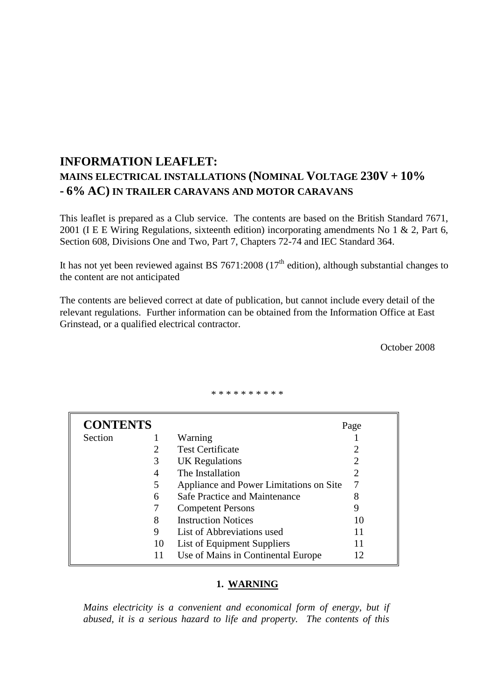# **INFORMATION LEAFLET: MAINS ELECTRICAL INSTALLATIONS (NOMINAL VOLTAGE 230V + 10% - 6% AC) IN TRAILER CARAVANS AND MOTOR CARAVANS**

This leaflet is prepared as a Club service. The contents are based on the British Standard 7671, 2001 (I E E Wiring Regulations, sixteenth edition) incorporating amendments No 1 & 2, Part 6, Section 608, Divisions One and Two, Part 7, Chapters 72-74 and IEC Standard 364.

It has not yet been reviewed against BS 7671:2008 ( $17<sup>th</sup>$  edition), although substantial changes to the content are not anticipated

The contents are believed correct at date of publication, but cannot include every detail of the relevant regulations. Further information can be obtained from the Information Office at East Grinstead, or a qualified electrical contractor.

October 2008

\* \* \* \* \* \* \* \* \* \*

| <b>CONTENTS</b> |    |                                         | Page |
|-----------------|----|-----------------------------------------|------|
| Section         |    | Warning                                 |      |
|                 | 2  | <b>Test Certificate</b>                 |      |
|                 | 3  | UK Regulations                          |      |
|                 | 4  | The Installation                        |      |
|                 | 5  | Appliance and Power Limitations on Site |      |
|                 | 6  | Safe Practice and Maintenance           |      |
|                 |    | <b>Competent Persons</b>                |      |
|                 | 8  | <b>Instruction Notices</b>              | 10   |
|                 | 9  | List of Abbreviations used              | 11   |
|                 | 10 | List of Equipment Suppliers             |      |
|                 | 11 | Use of Mains in Continental Europe      | 12   |

## **1. WARNING**

*Mains electricity is a convenient and economical form of energy, but if abused, it is a serious hazard to life and property. The contents of this*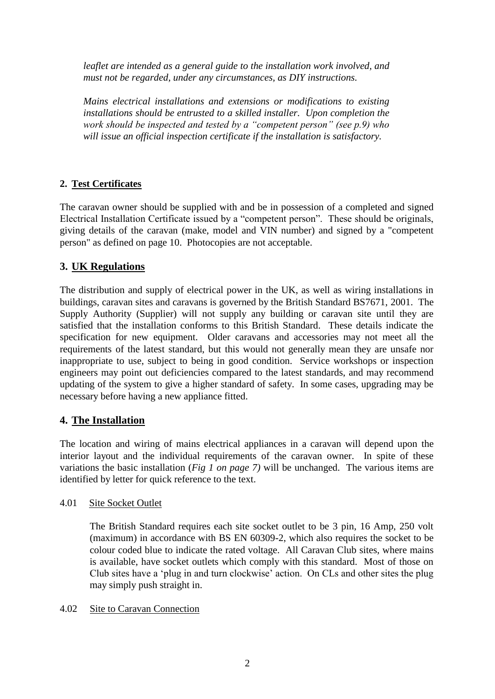*leaflet are intended as a general guide to the installation work involved, and must not be regarded, under any circumstances, as DIY instructions.* 

*Mains electrical installations and extensions or modifications to existing installations should be entrusted to a skilled installer. Upon completion the work should be inspected and tested by a "competent person" (see p.9) who will issue an official inspection certificate if the installation is satisfactory.*

# **2. Test Certificates**

The caravan owner should be supplied with and be in possession of a completed and signed Electrical Installation Certificate issued by a "competent person". These should be originals, giving details of the caravan (make, model and VIN number) and signed by a "competent person" as defined on page 10. Photocopies are not acceptable.

# **3. UK Regulations**

The distribution and supply of electrical power in the UK, as well as wiring installations in buildings, caravan sites and caravans is governed by the British Standard BS7671, 2001. The Supply Authority (Supplier) will not supply any building or caravan site until they are satisfied that the installation conforms to this British Standard. These details indicate the specification for new equipment. Older caravans and accessories may not meet all the requirements of the latest standard, but this would not generally mean they are unsafe nor inappropriate to use, subject to being in good condition. Service workshops or inspection engineers may point out deficiencies compared to the latest standards, and may recommend updating of the system to give a higher standard of safety. In some cases, upgrading may be necessary before having a new appliance fitted.

# **4. The Installation**

The location and wiring of mains electrical appliances in a caravan will depend upon the interior layout and the individual requirements of the caravan owner. In spite of these variations the basic installation (*Fig 1 on page 7)* will be unchanged. The various items are identified by letter for quick reference to the text.

# 4.01 Site Socket Outlet

The British Standard requires each site socket outlet to be 3 pin, 16 Amp, 250 volt (maximum) in accordance with BS EN 60309-2, which also requires the socket to be colour coded blue to indicate the rated voltage. All Caravan Club sites, where mains is available, have socket outlets which comply with this standard. Most of those on Club sites have a "plug in and turn clockwise" action. On CLs and other sites the plug may simply push straight in.

# 4.02 Site to Caravan Connection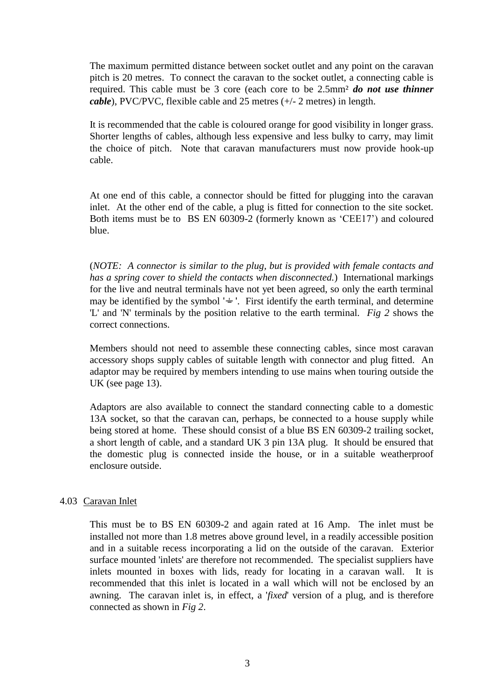The maximum permitted distance between socket outlet and any point on the caravan pitch is 20 metres. To connect the caravan to the socket outlet, a connecting cable is required. This cable must be 3 core (each core to be 2.5mm² *do not use thinner cable*), PVC/PVC, flexible cable and 25 metres (+/- 2 metres) in length.

It is recommended that the cable is coloured orange for good visibility in longer grass. Shorter lengths of cables, although less expensive and less bulky to carry, may limit the choice of pitch. Note that caravan manufacturers must now provide hook-up cable.

At one end of this cable, a connector should be fitted for plugging into the caravan inlet. At the other end of the cable, a plug is fitted for connection to the site socket. Both items must be to BS EN 60309-2 (formerly known as "CEE17") and coloured blue.

(*NOTE: A connector is similar to the plug, but is provided with female contacts and has a spring cover to shield the contacts when disconnected.*) International markings for the live and neutral terminals have not yet been agreed, so only the earth terminal may be identified by the symbol  $' = '$ . First identify the earth terminal, and determine 'L' and 'N' terminals by the position relative to the earth terminal. *Fig 2* shows the correct connections.

Members should not need to assemble these connecting cables, since most caravan accessory shops supply cables of suitable length with connector and plug fitted. An adaptor may be required by members intending to use mains when touring outside the UK (see page 13).

Adaptors are also available to connect the standard connecting cable to a domestic 13A socket, so that the caravan can, perhaps, be connected to a house supply while being stored at home. These should consist of a blue BS EN 60309-2 trailing socket, a short length of cable, and a standard UK 3 pin 13A plug. It should be ensured that the domestic plug is connected inside the house, or in a suitable weatherproof enclosure outside.

## 4.03 Caravan Inlet

This must be to BS EN 60309-2 and again rated at 16 Amp. The inlet must be installed not more than 1.8 metres above ground level, in a readily accessible position and in a suitable recess incorporating a lid on the outside of the caravan. Exterior surface mounted 'inlets' are therefore not recommended. The specialist suppliers have inlets mounted in boxes with lids, ready for locating in a caravan wall. It is recommended that this inlet is located in a wall which will not be enclosed by an awning. The caravan inlet is, in effect, a '*fixed*' version of a plug, and is therefore connected as shown in *Fig 2*.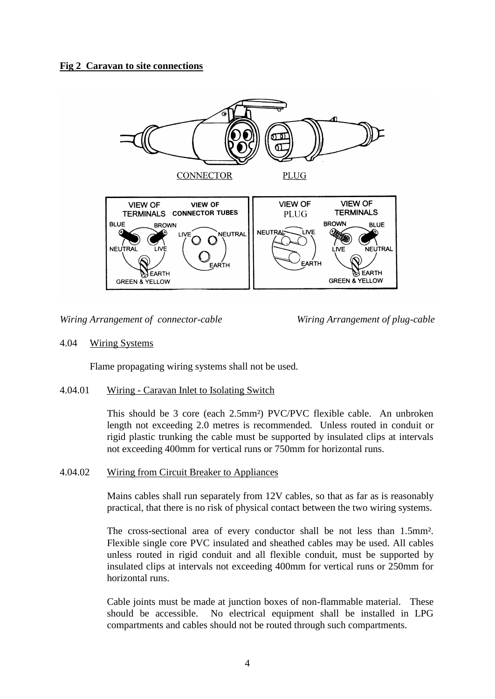# **Fig 2 Caravan to site connections**



*Wiring Arrangement of connector-cable Wiring Arrangement of plug-cable*

## 4.04 Wiring Systems

Flame propagating wiring systems shall not be used.

## 4.04.01 Wiring - Caravan Inlet to Isolating Switch

This should be 3 core (each 2.5mm²) PVC/PVC flexible cable. An unbroken length not exceeding 2.0 metres is recommended. Unless routed in conduit or rigid plastic trunking the cable must be supported by insulated clips at intervals not exceeding 400mm for vertical runs or 750mm for horizontal runs.

#### 4.04.02 Wiring from Circuit Breaker to Appliances

Mains cables shall run separately from 12V cables, so that as far as is reasonably practical, that there is no risk of physical contact between the two wiring systems.

The cross-sectional area of every conductor shall be not less than 1.5mm². Flexible single core PVC insulated and sheathed cables may be used. All cables unless routed in rigid conduit and all flexible conduit, must be supported by insulated clips at intervals not exceeding 400mm for vertical runs or 250mm for horizontal runs.

Cable joints must be made at junction boxes of non-flammable material. These should be accessible. No electrical equipment shall be installed in LPG compartments and cables should not be routed through such compartments.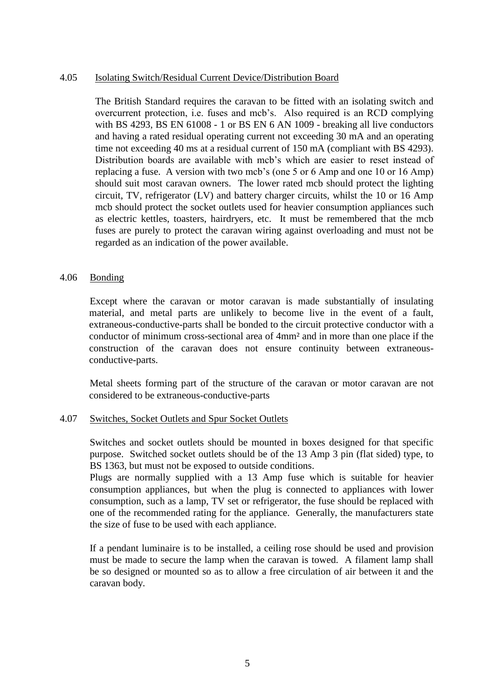## 4.05 Isolating Switch/Residual Current Device/Distribution Board

The British Standard requires the caravan to be fitted with an isolating switch and overcurrent protection, i.e. fuses and mcb"s. Also required is an RCD complying with BS 4293, BS EN 61008 - 1 or BS EN 6 AN 1009 - breaking all live conductors and having a rated residual operating current not exceeding 30 mA and an operating time not exceeding 40 ms at a residual current of 150 mA (compliant with BS 4293). Distribution boards are available with mcb"s which are easier to reset instead of replacing a fuse. A version with two mcb"s (one 5 or 6 Amp and one 10 or 16 Amp) should suit most caravan owners. The lower rated mcb should protect the lighting circuit, TV, refrigerator (LV) and battery charger circuits, whilst the 10 or 16 Amp mcb should protect the socket outlets used for heavier consumption appliances such as electric kettles, toasters, hairdryers, etc. It must be remembered that the mcb fuses are purely to protect the caravan wiring against overloading and must not be regarded as an indication of the power available.

#### 4.06 Bonding

Except where the caravan or motor caravan is made substantially of insulating material, and metal parts are unlikely to become live in the event of a fault, extraneous-conductive-parts shall be bonded to the circuit protective conductor with a conductor of minimum cross-sectional area of 4mm² and in more than one place if the construction of the caravan does not ensure continuity between extraneousconductive-parts.

Metal sheets forming part of the structure of the caravan or motor caravan are not considered to be extraneous-conductive-parts

#### 4.07 Switches, Socket Outlets and Spur Socket Outlets

Switches and socket outlets should be mounted in boxes designed for that specific purpose. Switched socket outlets should be of the 13 Amp 3 pin (flat sided) type, to BS 1363, but must not be exposed to outside conditions.

Plugs are normally supplied with a 13 Amp fuse which is suitable for heavier consumption appliances, but when the plug is connected to appliances with lower consumption, such as a lamp, TV set or refrigerator, the fuse should be replaced with one of the recommended rating for the appliance. Generally, the manufacturers state the size of fuse to be used with each appliance.

If a pendant luminaire is to be installed, a ceiling rose should be used and provision must be made to secure the lamp when the caravan is towed. A filament lamp shall be so designed or mounted so as to allow a free circulation of air between it and the caravan body.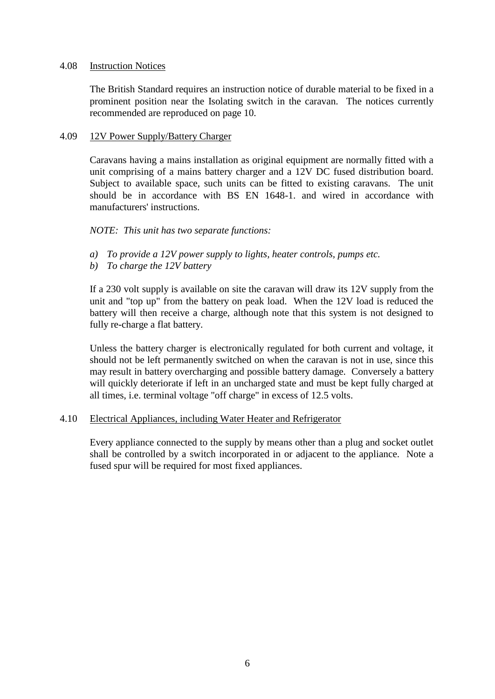#### 4.08 Instruction Notices

The British Standard requires an instruction notice of durable material to be fixed in a prominent position near the Isolating switch in the caravan. The notices currently recommended are reproduced on page 10.

#### 4.09 12V Power Supply/Battery Charger

Caravans having a mains installation as original equipment are normally fitted with a unit comprising of a mains battery charger and a 12V DC fused distribution board. Subject to available space, such units can be fitted to existing caravans. The unit should be in accordance with BS EN 1648-1. and wired in accordance with manufacturers' instructions.

## *NOTE: This unit has two separate functions:*

- *a) To provide a 12V power supply to lights, heater controls, pumps etc.*
- *b) To charge the 12V battery*

If a 230 volt supply is available on site the caravan will draw its 12V supply from the unit and "top up" from the battery on peak load. When the 12V load is reduced the battery will then receive a charge, although note that this system is not designed to fully re-charge a flat battery.

Unless the battery charger is electronically regulated for both current and voltage, it should not be left permanently switched on when the caravan is not in use, since this may result in battery overcharging and possible battery damage. Conversely a battery will quickly deteriorate if left in an uncharged state and must be kept fully charged at all times, i.e. terminal voltage "off charge" in excess of 12.5 volts.

## 4.10 Electrical Appliances, including Water Heater and Refrigerator

Every appliance connected to the supply by means other than a plug and socket outlet shall be controlled by a switch incorporated in or adjacent to the appliance. Note a fused spur will be required for most fixed appliances.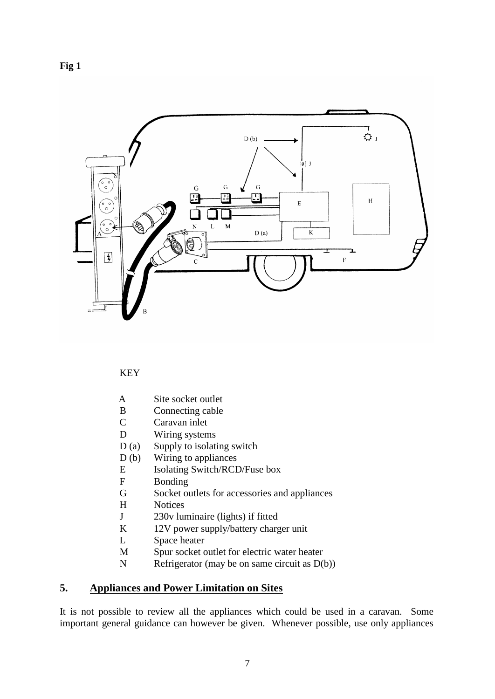# **Fig 1**



## KEY

- A Site socket outlet
- B Connecting cable
- C Caravan inlet
- D Wiring systems
- D (a) Supply to isolating switch
- D (b) Wiring to appliances
- E Isolating Switch/RCD/Fuse box
- F Bonding
- G Socket outlets for accessories and appliances
- H Notices
- J 230v luminaire (lights) if fitted
- K 12V power supply/battery charger unit
- L Space heater
- M Spur socket outlet for electric water heater
- N Refrigerator (may be on same circuit as  $D(b)$ )

# **5. Appliances and Power Limitation on Sites**

It is not possible to review all the appliances which could be used in a caravan. Some important general guidance can however be given. Whenever possible, use only appliances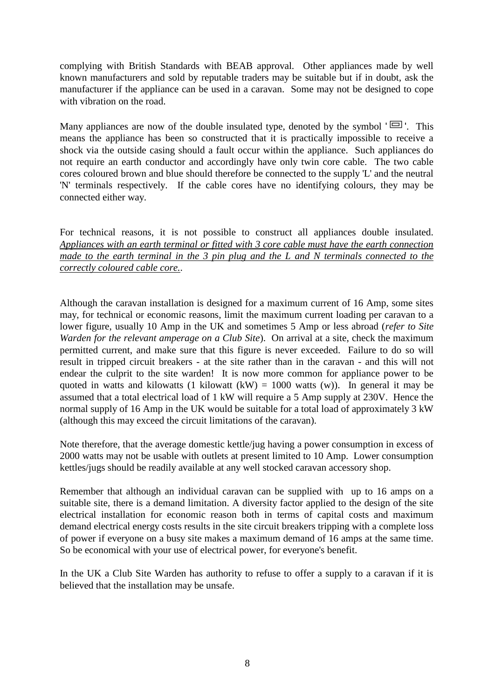complying with British Standards with BEAB approval. Other appliances made by well known manufacturers and sold by reputable traders may be suitable but if in doubt, ask the manufacturer if the appliance can be used in a caravan. Some may not be designed to cope with vibration on the road.

Many appliances are now of the double insulated type, denoted by the symbol  $' \square'$ . This means the appliance has been so constructed that it is practically impossible to receive a shock via the outside casing should a fault occur within the appliance. Such appliances do not require an earth conductor and accordingly have only twin core cable. The two cable cores coloured brown and blue should therefore be connected to the supply 'L' and the neutral 'N' terminals respectively. If the cable cores have no identifying colours, they may be connected either way.

For technical reasons, it is not possible to construct all appliances double insulated. *Appliances with an earth terminal or fitted with 3 core cable must have the earth connection made to the earth terminal in the 3 pin plug and the L and N terminals connected to the correctly coloured cable core.*.

Although the caravan installation is designed for a maximum current of 16 Amp, some sites may, for technical or economic reasons, limit the maximum current loading per caravan to a lower figure, usually 10 Amp in the UK and sometimes 5 Amp or less abroad (*refer to Site Warden for the relevant amperage on a Club Site*). On arrival at a site, check the maximum permitted current, and make sure that this figure is never exceeded. Failure to do so will result in tripped circuit breakers - at the site rather than in the caravan - and this will not endear the culprit to the site warden! It is now more common for appliance power to be quoted in watts and kilowatts (1 kilowatt (kW) = 1000 watts (w)). In general it may be assumed that a total electrical load of 1 kW will require a 5 Amp supply at 230V. Hence the normal supply of 16 Amp in the UK would be suitable for a total load of approximately 3 kW (although this may exceed the circuit limitations of the caravan).

Note therefore, that the average domestic kettle/jug having a power consumption in excess of 2000 watts may not be usable with outlets at present limited to 10 Amp. Lower consumption kettles/jugs should be readily available at any well stocked caravan accessory shop.

Remember that although an individual caravan can be supplied with up to 16 amps on a suitable site, there is a demand limitation. A diversity factor applied to the design of the site electrical installation for economic reason both in terms of capital costs and maximum demand electrical energy costs results in the site circuit breakers tripping with a complete loss of power if everyone on a busy site makes a maximum demand of 16 amps at the same time. So be economical with your use of electrical power, for everyone's benefit.

In the UK a Club Site Warden has authority to refuse to offer a supply to a caravan if it is believed that the installation may be unsafe.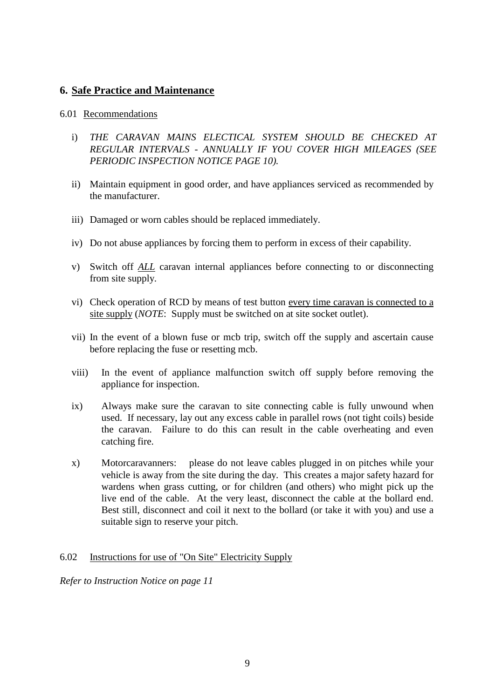# **6. Safe Practice and Maintenance**

## 6.01 Recommendations

- i) *THE CARAVAN MAINS ELECTICAL SYSTEM SHOULD BE CHECKED AT REGULAR INTERVALS - ANNUALLY IF YOU COVER HIGH MILEAGES (SEE PERIODIC INSPECTION NOTICE PAGE 10).*
- ii) Maintain equipment in good order, and have appliances serviced as recommended by the manufacturer.
- iii) Damaged or worn cables should be replaced immediately.
- iv) Do not abuse appliances by forcing them to perform in excess of their capability.
- v) Switch off *ALL* caravan internal appliances before connecting to or disconnecting from site supply.
- vi) Check operation of RCD by means of test button every time caravan is connected to a site supply (*NOTE*: Supply must be switched on at site socket outlet).
- vii) In the event of a blown fuse or mcb trip, switch off the supply and ascertain cause before replacing the fuse or resetting mcb.
- viii) In the event of appliance malfunction switch off supply before removing the appliance for inspection.
- ix) Always make sure the caravan to site connecting cable is fully unwound when used. If necessary, lay out any excess cable in parallel rows (not tight coils) beside the caravan. Failure to do this can result in the cable overheating and even catching fire.
- x) Motorcaravanners: please do not leave cables plugged in on pitches while your vehicle is away from the site during the day. This creates a major safety hazard for wardens when grass cutting, or for children (and others) who might pick up the live end of the cable. At the very least, disconnect the cable at the bollard end. Best still, disconnect and coil it next to the bollard (or take it with you) and use a suitable sign to reserve your pitch.

# 6.02 Instructions for use of "On Site" Electricity Supply

*Refer to Instruction Notice on page 11*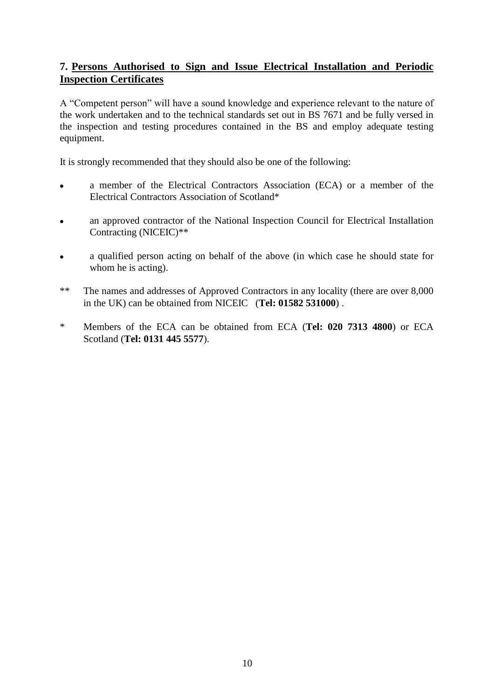# **7. Persons Authorised to Sign and Issue Electrical Installation and Periodic Inspection Certificates**

A "Competent person" will have a sound knowledge and experience relevant to the nature of the work undertaken and to the technical standards set out in BS 7671 and be fully versed in the inspection and testing procedures contained in the BS and employ adequate testing equipment.

It is strongly recommended that they should also be one of the following:

- a member of the Electrical Contractors Association (ECA) or a member of the  $\bullet$ Electrical Contractors Association of Scotland\*
- an approved contractor of the National Inspection Council for Electrical Installation  $\bullet$ Contracting (NICEIC)\*\*
- a qualified person acting on behalf of the above (in which case he should state for  $\bullet$ whom he is acting).
- \*\* The names and addresses of Approved Contractors in any locality (there are over 8,000 in the UK) can be obtained from NICEIC (**Tel: 01582 531000**) .
- \* Members of the ECA can be obtained from ECA (**Tel: 020 7313 4800**) or ECA Scotland (**Tel: 0131 445 5577**).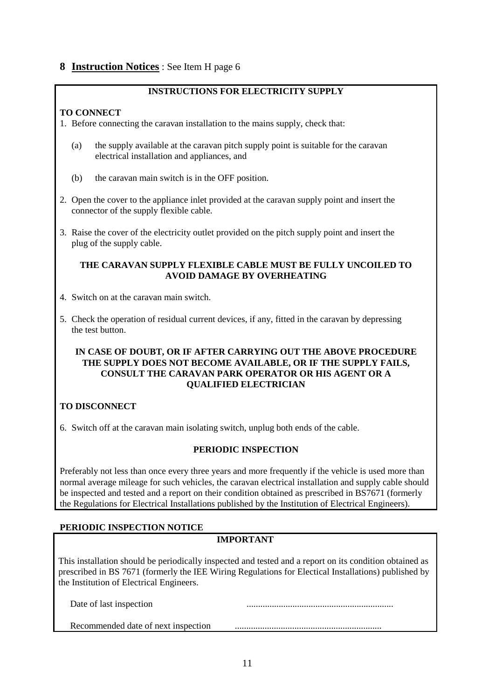# **8 Instruction Notices** : See Item H page 6

#### **INSTRUCTIONS FOR ELECTRICITY SUPPLY**

## **TO CONNECT**

- 1. Before connecting the caravan installation to the mains supply, check that:
	- (a) the supply available at the caravan pitch supply point is suitable for the caravan electrical installation and appliances, and
	- (b) the caravan main switch is in the OFF position.
- 2. Open the cover to the appliance inlet provided at the caravan supply point and insert the connector of the supply flexible cable.
- 3. Raise the cover of the electricity outlet provided on the pitch supply point and insert the plug of the supply cable.

#### **THE CARAVAN SUPPLY FLEXIBLE CABLE MUST BE FULLY UNCOILED TO AVOID DAMAGE BY OVERHEATING**

- 4. Switch on at the caravan main switch.
- 5. Check the operation of residual current devices, if any, fitted in the caravan by depressing the test button.

#### **IN CASE OF DOUBT, OR IF AFTER CARRYING OUT THE ABOVE PROCEDURE THE SUPPLY DOES NOT BECOME AVAILABLE, OR IF THE SUPPLY FAILS, CONSULT THE CARAVAN PARK OPERATOR OR HIS AGENT OR A QUALIFIED ELECTRICIAN**

# **TO DISCONNECT**

6. Switch off at the caravan main isolating switch, unplug both ends of the cable.

## **PERIODIC INSPECTION**

Preferably not less than once every three years and more frequently if the vehicle is used more than normal average mileage for such vehicles, the caravan electrical installation and supply cable should be inspected and tested and a report on their condition obtained as prescribed in BS7671 (formerly the Regulations for Electrical Installations published by the Institution of Electrical Engineers).

## **PERIODIC INSPECTION NOTICE**

## **IMPORTANT**

This installation should be periodically inspected and tested and a report on its condition obtained as prescribed in BS 7671 (formerly the IEE Wiring Regulations for Electical Installations) published by the Institution of Electrical Engineers.

| Date of last inspection             |  |
|-------------------------------------|--|
| Recommended date of next inspection |  |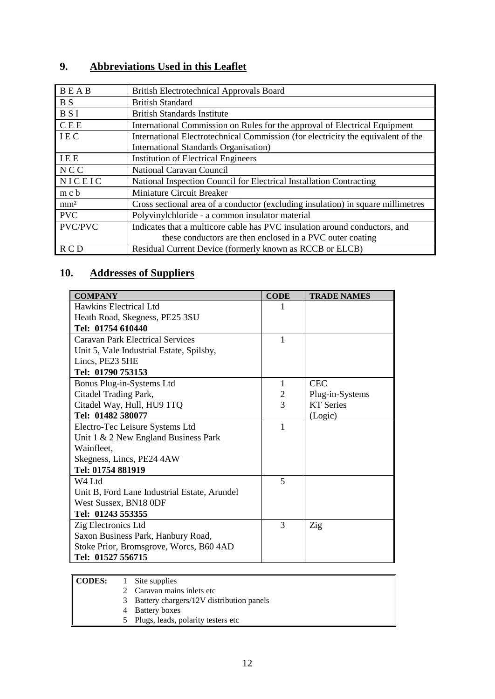# **9. Abbreviations Used in this Leaflet**

| <b>BEAB</b>     | <b>British Electrotechnical Approvals Board</b>                                  |
|-----------------|----------------------------------------------------------------------------------|
| <b>BS</b>       | <b>British Standard</b>                                                          |
|                 |                                                                                  |
| <b>BSI</b>      | <b>British Standards Institute</b>                                               |
| C E E           | International Commission on Rules for the approval of Electrical Equipment       |
| <b>IEC</b>      | International Electrotechnical Commission (for electricity the equivalent of the |
|                 | <b>International Standards Organisation</b> )                                    |
| IEE             | <b>Institution of Electrical Engineers</b>                                       |
| <b>NCC</b>      | National Caravan Council                                                         |
| NICEIC          | National Inspection Council for Electrical Installation Contracting              |
| m c b           | Miniature Circuit Breaker                                                        |
| mm <sup>2</sup> | Cross sectional area of a conductor (excluding insulation) in square millimetres |
| <b>PVC</b>      | Polyvinylchloride - a common insulator material                                  |
| <b>PVC/PVC</b>  | Indicates that a multicore cable has PVC insulation around conductors, and       |
|                 | these conductors are then enclosed in a PVC outer coating                        |
| R C D           | Residual Current Device (formerly known as RCCB or ELCB)                         |

# **10. Addresses of Suppliers**

| <b>COMPANY</b>                               | <b>CODE</b> | <b>TRADE NAMES</b> |
|----------------------------------------------|-------------|--------------------|
| Hawkins Electrical Ltd                       |             |                    |
| Heath Road, Skegness, PE25 3SU               |             |                    |
| Tel: 01754 610440                            |             |                    |
| <b>Caravan Park Electrical Services</b>      | 1           |                    |
| Unit 5, Vale Industrial Estate, Spilsby,     |             |                    |
| Lincs, PE23 5HE                              |             |                    |
| Tel: 01790 753153                            |             |                    |
| Bonus Plug-in-Systems Ltd                    | 1           | <b>CEC</b>         |
| Citadel Trading Park,                        | 2           | Plug-in-Systems    |
| Citadel Way, Hull, HU9 1TQ                   | 3           | <b>KT</b> Series   |
| Tel: 01482 580077                            |             | (Logic)            |
| Electro-Tec Leisure Systems Ltd              | 1           |                    |
| Unit $1 \& 2$ New England Business Park      |             |                    |
| Wainfleet,                                   |             |                    |
| Skegness, Lincs, PE24 4AW                    |             |                    |
| Tel: 01754 881919                            |             |                    |
| W4 Ltd                                       | 5           |                    |
| Unit B, Ford Lane Industrial Estate, Arundel |             |                    |
| West Sussex, BN18 0DF                        |             |                    |
| Tel: 01243 553355                            |             |                    |
| Zig Electronics Ltd                          | 3           | Zig                |
| Saxon Business Park, Hanbury Road,           |             |                    |
| Stoke Prior, Bromsgrove, Worcs, B60 4AD      |             |                    |
| Tel: 01527 556715                            |             |                    |

| CODES: |    | Site supplies                            |
|--------|----|------------------------------------------|
|        |    | 2 Caravan mains inlets etc               |
|        | 3. | Battery chargers/12V distribution panels |
|        |    | <b>Battery boxes</b>                     |
|        | 5. | Plugs, leads, polarity testers etc       |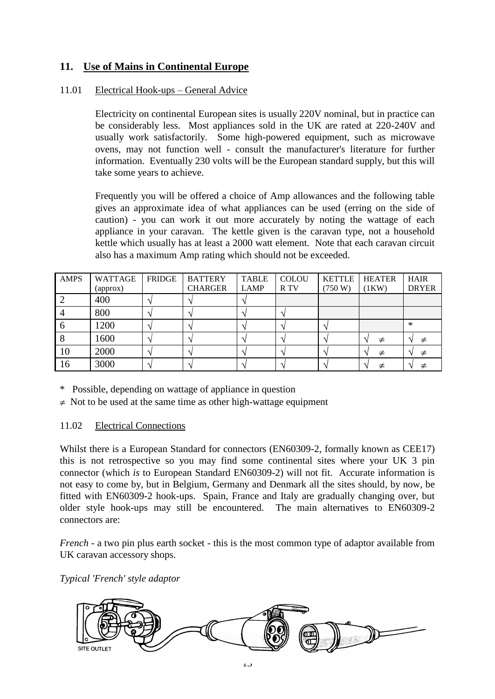# **11. Use of Mains in Continental Europe**

# 11.01 Electrical Hook-ups – General Advice

Electricity on continental European sites is usually 220V nominal, but in practice can be considerably less. Most appliances sold in the UK are rated at 220-240V and usually work satisfactorily. Some high-powered equipment, such as microwave ovens, may not function well - consult the manufacturer's literature for further information. Eventually 230 volts will be the European standard supply, but this will take some years to achieve.

Frequently you will be offered a choice of Amp allowances and the following table gives an approximate idea of what appliances can be used (erring on the side of caution) - you can work it out more accurately by noting the wattage of each appliance in your caravan. The kettle given is the caravan type, not a household kettle which usually has at least a 2000 watt element. Note that each caravan circuit also has a maximum Amp rating which should not be exceeded.

| <b>AMPS</b> | <b>WATTAGE</b><br>(approx) | <b>FRIDGE</b> | <b>BATTERY</b><br><b>CHARGER</b> | <b>TABLE</b><br><b>LAMP</b> | <b>COLOU</b><br>R TV | <b>KETTLE</b><br>(750 W) | <b>HEATER</b><br>(1KW) | <b>HAIR</b><br><b>DRYER</b> |
|-------------|----------------------------|---------------|----------------------------------|-----------------------------|----------------------|--------------------------|------------------------|-----------------------------|
|             | 400                        |               |                                  |                             |                      |                          |                        |                             |
|             | 800                        |               |                                  |                             |                      |                          |                        |                             |
|             | 1200                       |               |                                  |                             |                      |                          |                        | ∗                           |
|             | 1600                       |               |                                  |                             |                      |                          | ≠                      |                             |
| 10          | 2000                       |               |                                  |                             |                      |                          | ≠                      |                             |
| 16          | 3000                       |               |                                  |                             |                      |                          |                        | $\mathbf \Lambda$           |

\* Possible, depending on wattage of appliance in question

 $\neq$  Not to be used at the same time as other high-wattage equipment

## 11.02 Electrical Connections

Whilst there is a European Standard for connectors (EN60309-2, formally known as CEE17) this is not retrospective so you may find some continental sites where your UK 3 pin connector (which *is* to European Standard EN60309-2) will not fit. Accurate information is not easy to come by, but in Belgium, Germany and Denmark all the sites should, by now, be fitted with EN60309-2 hook-ups. Spain, France and Italy are gradually changing over, but older style hook-ups may still be encountered. The main alternatives to EN60309-2 connectors are:

*French* - a two pin plus earth socket - this is the most common type of adaptor available from UK caravan accessory shops.

*Typical 'French' style adaptor*